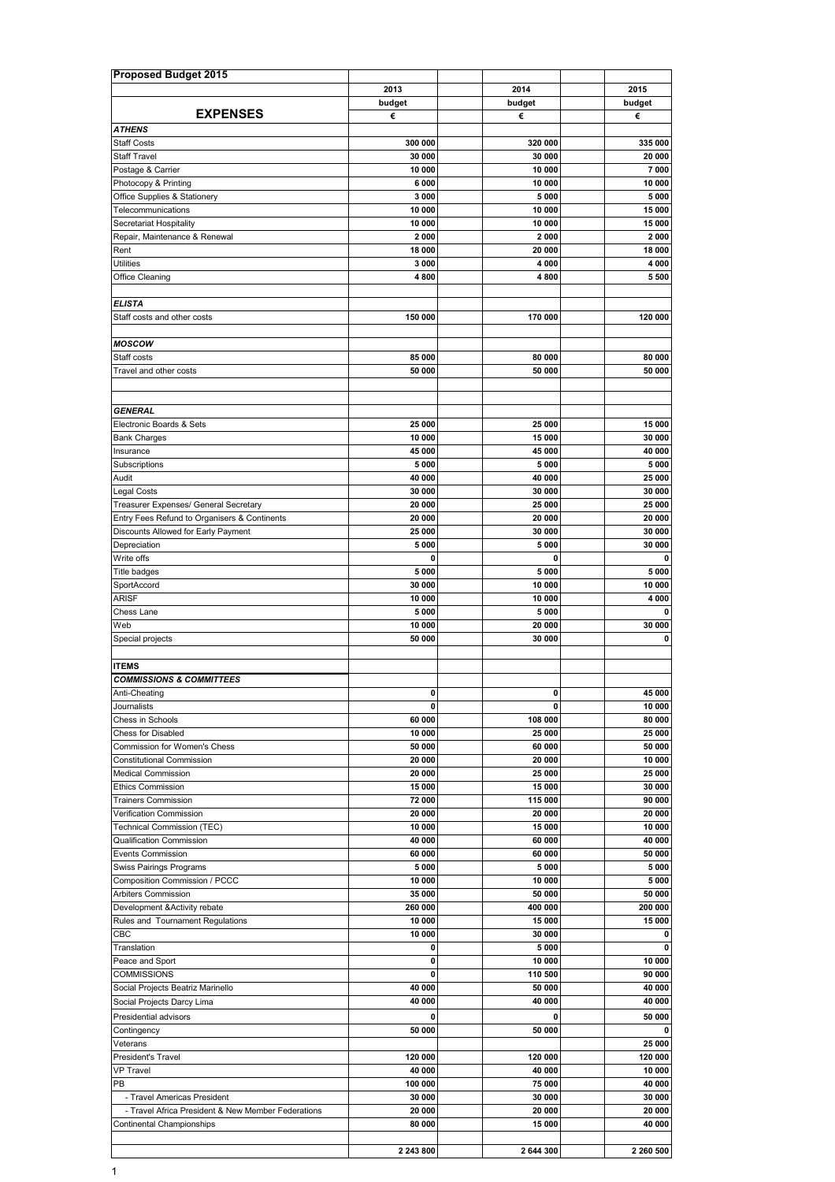| <b>Proposed Budget 2015</b>                        |                   |                   |                   |
|----------------------------------------------------|-------------------|-------------------|-------------------|
|                                                    | 2013              | 2014              | 2015              |
|                                                    | budget            | budget            | budget            |
| <b>EXPENSES</b>                                    | €                 | €                 | €                 |
| <b>ATHENS</b>                                      |                   |                   |                   |
| <b>Staff Costs</b>                                 | 300 000           | 320 000           | 335 000           |
| <b>Staff Travel</b>                                | 30 000            | 30 000            | 20 000            |
| Postage & Carrier                                  | 10 000            | 10 000            | 7 000             |
| Photocopy & Printing                               | 6000              | 10 000            | 10 000            |
| Office Supplies & Stationery                       | 3 0 0 0           | 5 0 0 0           | 5 0 0 0           |
| Telecommunications                                 | 10 000            | 10 000            | 15 000            |
| Secretariat Hospitality                            | 10 000            | 10 000            | 15 000            |
| Repair, Maintenance & Renewal                      | 2000              | 2000              | 2000              |
| Rent                                               | 18 000            | 20 000            | 18 000            |
| <b>Utilities</b>                                   | 3000              | 4 0 0 0           | 4 0 0 0           |
| Office Cleaning                                    | 4800              | 4800              | 5 500             |
|                                                    |                   |                   |                   |
| <b>ELISTA</b>                                      |                   |                   |                   |
| Staff costs and other costs                        | 150 000           | 170 000           | 120 000           |
|                                                    |                   |                   |                   |
| <b>MOSCOW</b><br>Staff costs                       | 85 000            |                   |                   |
|                                                    |                   | 80 000            | 80 000            |
| Travel and other costs                             | 50 000            | 50 000            | 50 000            |
|                                                    |                   |                   |                   |
| <b>GENERAL</b>                                     |                   |                   |                   |
|                                                    | 25 000            |                   |                   |
| Electronic Boards & Sets                           | 10 000            | 25 000            | 15 000            |
| <b>Bank Charges</b>                                | 45 000            | 15 000<br>45 000  | 30 000            |
| Insurance                                          |                   |                   | 40 000            |
| Subscriptions<br>Audit                             | 5 0 0 0<br>40 000 | 5 0 0 0<br>40 000 | 5 0 0 0<br>25 000 |
| Legal Costs                                        | 30 000            | 30 000            | 30 000            |
|                                                    | 20 000            | 25 000            | 25 000            |
| Treasurer Expenses/ General Secretary              |                   |                   |                   |
| Entry Fees Refund to Organisers & Continents       | 20 000<br>25 000  | 20 000<br>30 000  | 20 000<br>30 000  |
| Discounts Allowed for Early Payment                |                   |                   |                   |
| Depreciation                                       | 5 0 0 0<br>0      | 5000<br>0         | 30 000<br>0       |
| Write offs                                         |                   |                   |                   |
| <b>Title badges</b>                                | 5 0 0 0<br>30 000 | 5 0 0 0<br>10 000 | 5 000<br>10 000   |
| SportAccord<br><b>ARISF</b>                        |                   |                   |                   |
| Chess Lane                                         | 10 000<br>5 0 0 0 | 10 000<br>5 0 0 0 | 4 000<br>0        |
| Web                                                | 10 000            | 20 000            | 30 000            |
|                                                    | 50 000            | 30 000            | 0                 |
| Special projects                                   |                   |                   |                   |
| <b>ITEMS</b>                                       |                   |                   |                   |
| <b>COMMISSIONS &amp; COMMITTEES</b>                |                   |                   |                   |
| Anti-Cheating                                      | $\mathbf{0}$      | 0                 | 45 000            |
| Journalists                                        | 0                 | 0                 | 10 000            |
| Chess in Schools                                   | 60 000            | 108 000           | 80 000            |
| Chess for Disabled                                 | 10 000            | 25 000            | 25 000            |
| Commission for Women's Chess                       | 50 000            | 60 000            | 50 000            |
| <b>Constitutional Commission</b>                   | 20 000            | 20 000            | 10 000            |
| <b>Medical Commission</b>                          | 20 000            | 25 000            | 25 000            |
| <b>Ethics Commission</b>                           | 15 000            | 15 000            | 30 000            |
| <b>Trainers Commission</b>                         | 72 000            | 115 000           | 90 000            |
| Verification Commission                            | 20 000            | 20 000            | 20 000            |
| Technical Commission (TEC)                         | 10 000            | 15 000            | 10 000            |
| <b>Qualification Commission</b>                    | 40 000            | 60 000            | 40 000            |
| <b>Events Commission</b>                           | 60 000            | 60 000            | 50 000            |
| Swiss Pairings Programs                            | 5 0 0 0           | 5 0 0 0           | 5 000             |
| Composition Commission / PCCC                      | 10 000            | 10 000            | 5 000             |
| Arbiters Commission                                | 35 000            | 50 000            | 50 000            |
| Development & Activity rebate                      | 260 000           | 400 000           | 200 000           |
| Rules and Tournament Regulations                   | 10 000            | 15 000            | 15 000            |
| CBC                                                | 10 000            | 30 000            | 0                 |
| Translation                                        | 0                 | 5 0 0 0           | 0                 |
| Peace and Sport                                    | 0                 | 10 000            | 10 000            |
| <b>COMMISSIONS</b>                                 | 0                 | 110 500           | 90 000            |
| Social Projects Beatriz Marinello                  | 40 000            | 50 000            | 40 000            |
| Social Projects Darcy Lima                         | 40 000            | 40 000            | 40 000            |
| Presidential advisors                              | 0                 | 0                 | 50 000            |
| Contingency                                        | 50 000            | 50 000            | 0                 |
| Veterans                                           |                   |                   | 25 000            |
| President's Travel                                 | 120 000           | 120 000           | 120 000           |
| <b>VP Travel</b>                                   | 40 000            | 40 000            | 10 000            |
| PB                                                 | 100 000           | 75 000            | 40 000            |
| - Travel Americas President                        | 30 000            | 30 000            | 30 000            |
| - Travel Africa President & New Member Federations | 20 000            | 20 000            | 20 000            |
| Continental Championships                          | 80 000            | 15 000            | 40 000            |
|                                                    |                   |                   |                   |
|                                                    | 2 243 800         | 2 644 300         | 2 260 500         |